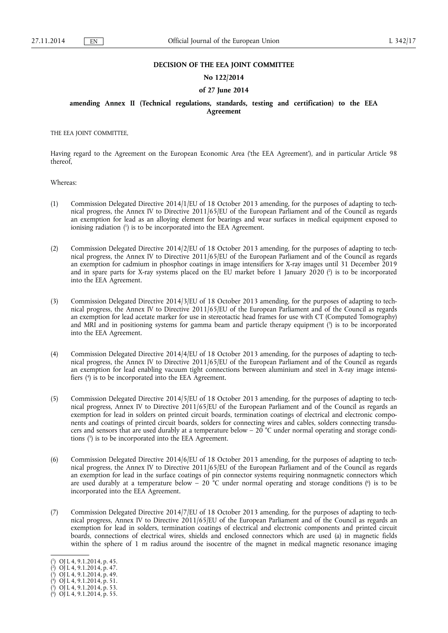#### **DECISION OF THE EEA JOINT COMMITTEE**

#### **No 122/2014**

#### **of 27 June 2014**

### **amending Annex II (Technical regulations, standards, testing and certification) to the EEA Agreement**

THE EEA JOINT COMMITTEE,

Having regard to the Agreement on the European Economic Area ('the EEA Agreement'), and in particular Article 98 thereof,

Whereas:

- (1) Commission Delegated Directive 2014/1/EU of 18 October 2013 amending, for the purposes of adapting to technical progress, the Annex IV to Directive 2011/65/EU of the European Parliament and of the Council as regards an exemption for lead as an alloying element for bearings and wear surfaces in medical equipment exposed to ionising radiation (1 ) is to be incorporated into the EEA Agreement.
- (2) Commission Delegated Directive 2014/2/EU of 18 October 2013 amending, for the purposes of adapting to technical progress, the Annex IV to Directive 2011/65/EU of the European Parliament and of the Council as regards an exemption for cadmium in phosphor coatings in image intensifiers for X-ray images until 31 December 2019 and in spare parts for X-ray systems placed on the EU market before 1 January 2020  $\binom{2}{1}$  is to be incorporated into the EEA Agreement.
- (3) Commission Delegated Directive 2014/3/EU of 18 October 2013 amending, for the purposes of adapting to technical progress, the Annex IV to Directive 2011/65/EU of the European Parliament and of the Council as regards an exemption for lead acetate marker for use in stereotactic head frames for use with CT (Computed Tomography) and MRI and in positioning systems for gamma beam and particle therapy equipment  $\binom{3}{2}$  is to be incorporated into the EEA Agreement.
- (4) Commission Delegated Directive 2014/4/EU of 18 October 2013 amending, for the purposes of adapting to technical progress, the Annex IV to Directive 2011/65/EU of the European Parliament and of the Council as regards an exemption for lead enabling vacuum tight connections between aluminium and steel in X-ray image intensifiers (4 ) is to be incorporated into the EEA Agreement.
- (5) Commission Delegated Directive 2014/5/EU of 18 October 2013 amending, for the purposes of adapting to technical progress, Annex IV to Directive 2011/65/EU of the European Parliament and of the Council as regards an exemption for lead in solders on printed circuit boards, termination coatings of electrical and electronic components and coatings of printed circuit boards, solders for connecting wires and cables, solders connecting transducers and sensors that are used durably at a temperature below –  $20^{\circ}$ C under normal operating and storage conditions  $\binom{5}{2}$  is to be incorporated into the EEA Agreement.
- (6) Commission Delegated Directive 2014/6/EU of 18 October 2013 amending, for the purposes of adapting to technical progress, the Annex IV to Directive 2011/65/EU of the European Parliament and of the Council as regards an exemption for lead in the surface coatings of pin connector systems requiring nonmagnetic connectors which are used durably at a temperature below  $-$  20  $^{\circ}$ C under normal operating and storage conditions ( $^{\circ}$ ) is to be incorporated into the EEA Agreement.
- (7) Commission Delegated Directive 2014/7/EU of 18 October 2013 amending, for the purposes of adapting to technical progress, Annex IV to Directive 2011/65/EU of the European Parliament and of the Council as regards an exemption for lead in solders, termination coatings of electrical and electronic components and printed circuit boards, connections of electrical wires, shields and enclosed connectors which are used (a) in magnetic fields within the sphere of 1 m radius around the isocentre of the magnet in medical magnetic resonance imaging

<sup>(</sup> 1 ) OJ L 4, 9.1.2014, p. 45.

<sup>(</sup> 2 ) OJ L 4, 9.1.2014, p. 47.

<sup>(</sup> 3 ) OJ L 4, 9.1.2014, p. 49.

 $(4)$  OJ L 4, 9.1.2014, p. 51.

 $(5)$  OJ L 4, 9.1.2014, p. 53.

<sup>(</sup> 6 ) OJ L 4, 9.1.2014, p. 55.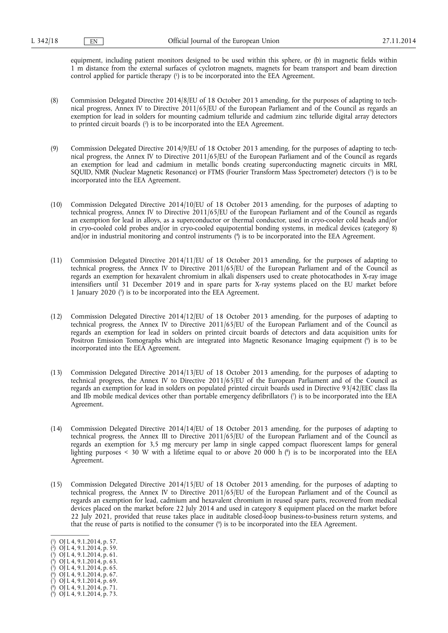equipment, including patient monitors designed to be used within this sphere, or (b) in magnetic fields within 1 m distance from the external surfaces of cyclotron magnets, magnets for beam transport and beam direction control applied for particle therapy (1 ) is to be incorporated into the EEA Agreement.

- (8) Commission Delegated Directive 2014/8/EU of 18 October 2013 amending, for the purposes of adapting to technical progress, Annex IV to Directive 2011/65/EU of the European Parliament and of the Council as regards an exemption for lead in solders for mounting cadmium telluride and cadmium zinc telluride digital array detectors to printed circuit boards (<sup>2</sup>) is to be incorporated into the EEA Agreement.
- (9) Commission Delegated Directive 2014/9/EU of 18 October 2013 amending, for the purposes of adapting to technical progress, the Annex IV to Directive 2011/65/EU of the European Parliament and of the Council as regards an exemption for lead and cadmium in metallic bonds creating superconducting magnetic circuits in MRI, SQUID, NMR (Nuclear Magnetic Resonance) or FTMS (Fourier Transform Mass Spectrometer) detectors (3) is to be incorporated into the EEA Agreement.
- (10) Commission Delegated Directive 2014/10/EU of 18 October 2013 amending, for the purposes of adapting to technical progress, Annex IV to Directive 2011/65/EU of the European Parliament and of the Council as regards an exemption for lead in alloys, as a superconductor or thermal conductor, used in cryo-cooler cold heads and/or in cryo-cooled cold probes and/or in cryo-cooled equipotential bonding systems, in medical devices (category 8) and/or in industrial monitoring and control instruments (4 ) is to be incorporated into the EEA Agreement.
- (11) Commission Delegated Directive 2014/11/EU of 18 October 2013 amending, for the purposes of adapting to technical progress, the Annex IV to Directive 2011/65/EU of the European Parliament and of the Council as regards an exemption for hexavalent chromium in alkali dispensers used to create photocathodes in X-ray image intensifiers until 31 December 2019 and in spare parts for X-ray systems placed on the EU market before 1 January 2020 (5 ) is to be incorporated into the EEA Agreement.
- (12) Commission Delegated Directive 2014/12/EU of 18 October 2013 amending, for the purposes of adapting to technical progress, the Annex IV to Directive 2011/65/EU of the European Parliament and of the Council as regards an exemption for lead in solders on printed circuit boards of detectors and data acquisition units for Positron Emission Tomographs which are integrated into Magnetic Resonance Imaging equipment (<sup>6</sup>) is to be incorporated into the EEA Agreement.
- (13) Commission Delegated Directive 2014/13/EU of 18 October 2013 amending, for the purposes of adapting to technical progress, the Annex IV to Directive 2011/65/EU of the European Parliament and of the Council as regards an exemption for lead in solders on populated printed circuit boards used in Directive 93/42/EEC class IIa and IIb mobile medical devices other than portable emergency defibrillators  $\binom{7}{1}$  is to be incorporated into the EEA Agreement.
- (14) Commission Delegated Directive 2014/14/EU of 18 October 2013 amending, for the purposes of adapting to technical progress, the Annex III to Directive 2011/65/EU of the European Parliament and of the Council as regards an exemption for 3,5 mg mercury per lamp in single capped compact fluorescent lamps for general lighting purposes < 30 W with a lifetime equal to or above 20 000 h (<sup>8</sup>) is to be incorporated into the EEA Agreement.
- (15) Commission Delegated Directive 2014/15/EU of 18 October 2013 amending, for the purposes of adapting to technical progress, the Annex IV to Directive 2011/65/EU of the European Parliament and of the Council as regards an exemption for lead, cadmium and hexavalent chromium in reused spare parts, recovered from medical devices placed on the market before 22 July 2014 and used in category 8 equipment placed on the market before 22 July 2021, provided that reuse takes place in auditable closed-loop business-to-business return systems, and that the reuse of parts is notified to the consumer (9 ) is to be incorporated into the EEA Agreement.
- ( 1 ) OJ L 4, 9.1.2014, p. 57.
- ( 2 ) OJ L 4, 9.1.2014, p. 59.
- ( 3 ) OJ L 4, 9.1.2014, p. 61.  $(4)$  OJ L 4, 9.1.2014, p. 63.
- $(5)$  OJ L 4, 9.1.2014, p. 65.
- ( 6 ) OJ L 4, 9.1.2014, p. 67.
- $(7)$  OJ L 4, 9.1.2014, p. 69.

<sup>(</sup> 8 ) OJ L 4, 9.1.2014, p. 71.

<sup>(</sup> 9 ) OJ L 4, 9.1.2014, p. 73.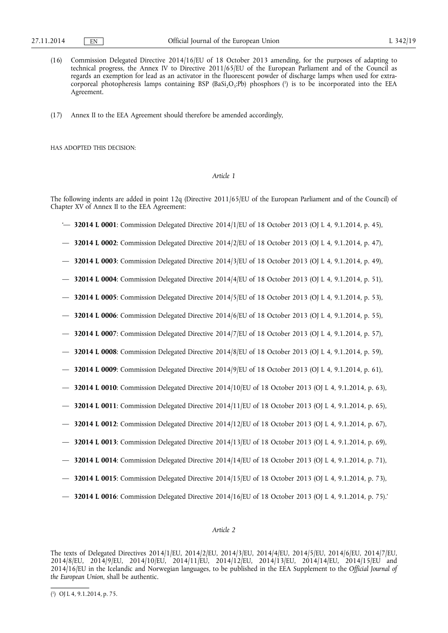- (16) Commission Delegated Directive 2014/16/EU of 18 October 2013 amending, for the purposes of adapting to technical progress, the Annex IV to Directive 2011/65/EU of the European Parliament and of the Council as regards an exemption for lead as an activator in the fluorescent powder of discharge lamps when used for extracorporeal photopheresis lamps containing BSP (BaSi<sub>2</sub>O<sub>5</sub>:Pb) phosphors (<sup>1</sup>) is to be incorporated into the EEA Agreement.
- (17) Annex II to the EEA Agreement should therefore be amended accordingly,

HAS ADOPTED THIS DECISION:

#### *Article 1*

The following indents are added in point 12q (Directive 2011/65/EU of the European Parliament and of the Council) of Chapter XV of Annex II to the EEA Agreement:

- '— **32014 L 0001**: Commission Delegated Directive 2014/1/EU of 18 October 2013 (OJ L 4, 9.1.2014, p. 45),
- **32014 L 0002**: Commission Delegated Directive 2014/2/EU of 18 October 2013 (OJ L 4, 9.1.2014, p. 47),
- **32014 L 0003**: Commission Delegated Directive 2014/3/EU of 18 October 2013 (OJ L 4, 9.1.2014, p. 49),
- **32014 L 0004**: Commission Delegated Directive 2014/4/EU of 18 October 2013 (OJ L 4, 9.1.2014, p. 51),
- **32014 L 0005**: Commission Delegated Directive 2014/5/EU of 18 October 2013 (OJ L 4, 9.1.2014, p. 53),
- **32014 L 0006**: Commission Delegated Directive 2014/6/EU of 18 October 2013 (OJ L 4, 9.1.2014, p. 55),
- **32014 L 0007**: Commission Delegated Directive 2014/7/EU of 18 October 2013 (OJ L 4, 9.1.2014, p. 57),
- **32014 L 0008**: Commission Delegated Directive 2014/8/EU of 18 October 2013 (OJ L 4, 9.1.2014, p. 59),
- **32014 L 0009**: Commission Delegated Directive 2014/9/EU of 18 October 2013 (OJ L 4, 9.1.2014, p. 61),
- **32014 L 0010**: Commission Delegated Directive 2014/10/EU of 18 October 2013 (OJ L 4, 9.1.2014, p. 63),
- **32014 L 0011**: Commission Delegated Directive 2014/11/EU of 18 October 2013 (OJ L 4, 9.1.2014, p. 65),
- **32014 L 0012**: Commission Delegated Directive 2014/12/EU of 18 October 2013 (OJ L 4, 9.1.2014, p. 67),
- **32014 L 0013**: Commission Delegated Directive 2014/13/EU of 18 October 2013 (OJ L 4, 9.1.2014, p. 69),
- **32014 L 0014**: Commission Delegated Directive 2014/14/EU of 18 October 2013 (OJ L 4, 9.1.2014, p. 71),
- **32014 L 0015**: Commission Delegated Directive 2014/15/EU of 18 October 2013 (OJ L 4, 9.1.2014, p. 73),
- **32014 L 0016**: Commission Delegated Directive 2014/16/EU of 18 October 2013 (OJ L 4, 9.1.2014, p. 75).'

## *Article 2*

The texts of Delegated Directives 2014/1/EU, 2014/2/EU, 2014/3/EU, 2014/4/EU, 2014/5/EU, 2014/6/EU, 2014/7/EU, 2014/8/EU, 2014/9/EU, 2014/10/EU, 2014/11/EU, 2014/12/EU, 2014/13/EU, 2014/14/EU, 2014/15/EU and 2014/16/EU in the Icelandic and Norwegian languages, to be published in the EEA Supplement to the *Official Journal of the European Union*, shall be authentic.

<sup>(</sup> 1 ) OJ L 4, 9.1.2014, p. 75.